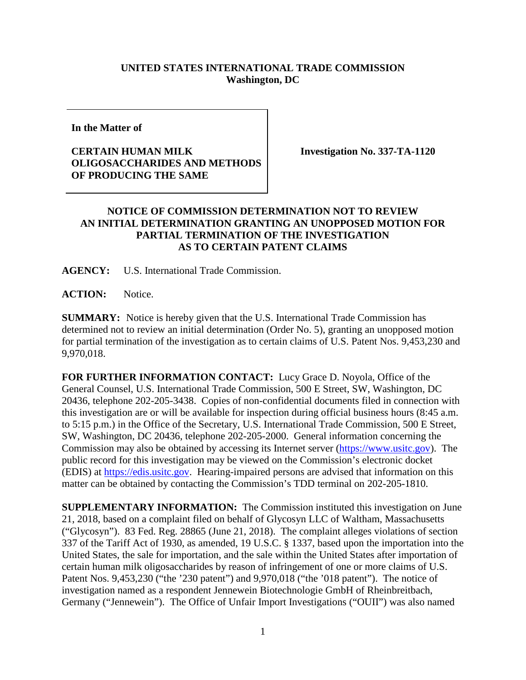## **UNITED STATES INTERNATIONAL TRADE COMMISSION Washington, DC**

**In the Matter of**

## **CERTAIN HUMAN MILK OLIGOSACCHARIDES AND METHODS OF PRODUCING THE SAME**

**Investigation No. 337-TA-1120**

## **NOTICE OF COMMISSION DETERMINATION NOT TO REVIEW AN INITIAL DETERMINATION GRANTING AN UNOPPOSED MOTION FOR PARTIAL TERMINATION OF THE INVESTIGATION AS TO CERTAIN PATENT CLAIMS**

**AGENCY:** U.S. International Trade Commission.

**ACTION:** Notice.

**SUMMARY:** Notice is hereby given that the U.S. International Trade Commission has determined not to review an initial determination (Order No. 5), granting an unopposed motion for partial termination of the investigation as to certain claims of U.S. Patent Nos. 9,453,230 and 9,970,018.

**FOR FURTHER INFORMATION CONTACT:** Lucy Grace D. Noyola, Office of the General Counsel, U.S. International Trade Commission, 500 E Street, SW, Washington, DC 20436, telephone 202-205-3438. Copies of non-confidential documents filed in connection with this investigation are or will be available for inspection during official business hours (8:45 a.m. to 5:15 p.m.) in the Office of the Secretary, U.S. International Trade Commission, 500 E Street, SW, Washington, DC 20436, telephone 202-205-2000. General information concerning the Commission may also be obtained by accessing its Internet server [\(https://www.usitc.gov\)](https://www.usitc.gov/). The public record for this investigation may be viewed on the Commission's electronic docket (EDIS) at [https://edis.usitc.gov.](https://edis.usitc.gov/) Hearing-impaired persons are advised that information on this matter can be obtained by contacting the Commission's TDD terminal on 202-205-1810.

**SUPPLEMENTARY INFORMATION:** The Commission instituted this investigation on June 21, 2018, based on a complaint filed on behalf of Glycosyn LLC of Waltham, Massachusetts ("Glycosyn"). 83 Fed. Reg. 28865 (June 21, 2018). The complaint alleges violations of section 337 of the Tariff Act of 1930, as amended, 19 U.S.C. § 1337, based upon the importation into the United States, the sale for importation, and the sale within the United States after importation of certain human milk oligosaccharides by reason of infringement of one or more claims of U.S. Patent Nos. 9,453,230 ("the '230 patent") and 9,970,018 ("the '018 patent"). The notice of investigation named as a respondent Jennewein Biotechnologie GmbH of Rheinbreitbach, Germany ("Jennewein"). The Office of Unfair Import Investigations ("OUII") was also named